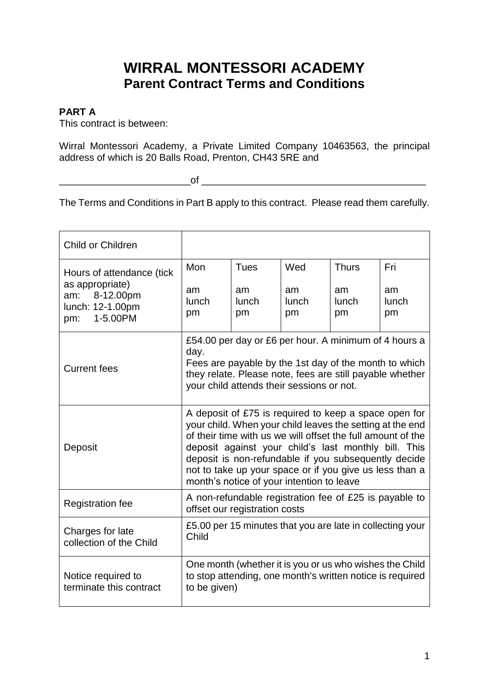# **WIRRAL MONTESSORI ACADEMY Parent Contract Terms and Conditions**

# **PART A**

This contract is between:

Wirral Montessori Academy, a Private Limited Company 10463563, the principal address of which is 20 Balls Road, Prenton, CH43 5RE and

\_\_\_\_\_\_\_\_\_\_\_\_\_\_\_\_\_\_\_\_\_\_\_\_of \_\_\_\_\_\_\_\_\_\_\_\_\_\_\_\_\_\_\_\_\_\_\_\_\_\_\_\_\_\_\_\_\_\_\_\_\_\_\_\_\_

The Terms and Conditions in Part B apply to this contract. Please read them carefully.

| Child or Children                                                                                       |                                                                                                                                                                                                                                                                                                                                                                                                           |                                  |                          |                                   |                                 |
|---------------------------------------------------------------------------------------------------------|-----------------------------------------------------------------------------------------------------------------------------------------------------------------------------------------------------------------------------------------------------------------------------------------------------------------------------------------------------------------------------------------------------------|----------------------------------|--------------------------|-----------------------------------|---------------------------------|
| Hours of attendance (tick<br>as appropriate)<br>8-12.00pm<br>am:<br>lunch: 12-1.00pm<br>1-5.00PM<br>pm: | <b>Mon</b><br>am<br>lunch<br>pm                                                                                                                                                                                                                                                                                                                                                                           | <b>Tues</b><br>am<br>lunch<br>pm | Wed<br>am<br>lunch<br>pm | <b>Thurs</b><br>am<br>lunch<br>pm | Fri<br>am<br><b>lunch</b><br>pm |
| <b>Current fees</b>                                                                                     | £54.00 per day or £6 per hour. A minimum of 4 hours a<br>day.<br>Fees are payable by the 1st day of the month to which<br>they relate. Please note, fees are still payable whether<br>your child attends their sessions or not.                                                                                                                                                                           |                                  |                          |                                   |                                 |
| Deposit                                                                                                 | A deposit of £75 is required to keep a space open for<br>your child. When your child leaves the setting at the end<br>of their time with us we will offset the full amount of the<br>deposit against your child's last monthly bill. This<br>deposit is non-refundable if you subsequently decide<br>not to take up your space or if you give us less than a<br>month's notice of your intention to leave |                                  |                          |                                   |                                 |
| <b>Registration fee</b>                                                                                 | A non-refundable registration fee of £25 is payable to<br>offset our registration costs                                                                                                                                                                                                                                                                                                                   |                                  |                          |                                   |                                 |
| Charges for late<br>collection of the Child                                                             | £5.00 per 15 minutes that you are late in collecting your<br>Child                                                                                                                                                                                                                                                                                                                                        |                                  |                          |                                   |                                 |
| Notice required to<br>terminate this contract                                                           | One month (whether it is you or us who wishes the Child<br>to stop attending, one month's written notice is required<br>to be given)                                                                                                                                                                                                                                                                      |                                  |                          |                                   |                                 |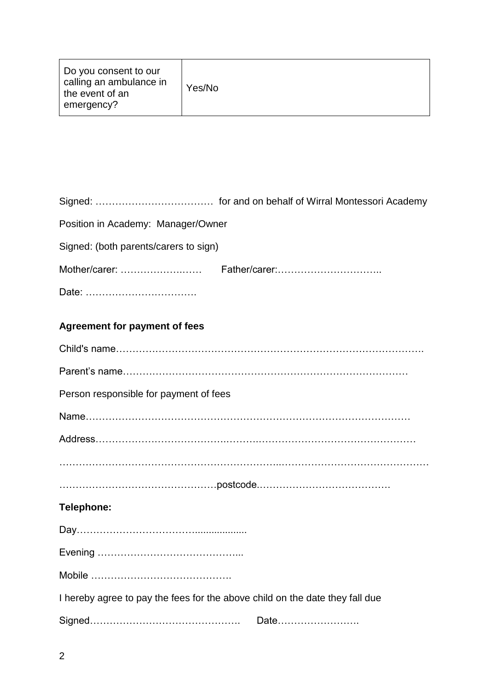| Do you consent to our<br>calling an ambulance in<br>the event of an<br>emergency? | Yes/No |
|-----------------------------------------------------------------------------------|--------|
|-----------------------------------------------------------------------------------|--------|

| Position in Academy: Manager/Owner                                           |
|------------------------------------------------------------------------------|
| Signed: (both parents/carers to sign)                                        |
|                                                                              |
| Date:                                                                        |
| <b>Agreement for payment of fees</b>                                         |
|                                                                              |
|                                                                              |
| Person responsible for payment of fees                                       |
|                                                                              |
|                                                                              |
|                                                                              |
|                                                                              |
| <b>Telephone:</b>                                                            |
|                                                                              |
|                                                                              |
|                                                                              |
| I hereby agree to pay the fees for the above child on the date they fall due |
| Date                                                                         |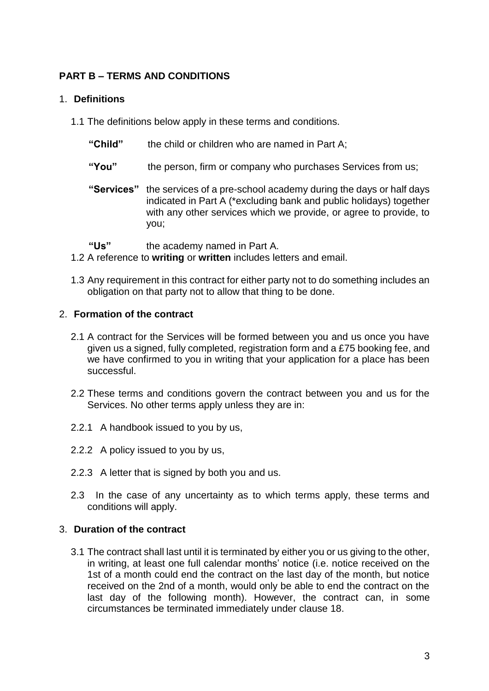# **PART B – TERMS AND CONDITIONS**

## 1. **Definitions**

- 1.1 The definitions below apply in these terms and conditions.
	- **"Child"** the child or children who are named in Part A;
	- **"You"** the person, firm or company who purchases Services from us;
	- **"Services"** the services of a pre-school academy during the days or half days indicated in Part A (\*excluding bank and public holidays) together with any other services which we provide, or agree to provide, to you;
	- **"Us"** the academy named in Part A.
- 1.2 A reference to **writing** or **written** includes letters and email.
- 1.3 Any requirement in this contract for either party not to do something includes an obligation on that party not to allow that thing to be done.

#### 2. **Formation of the contract**

- 2.1 A contract for the Services will be formed between you and us once you have given us a signed, fully completed, registration form and a £75 booking fee, and we have confirmed to you in writing that your application for a place has been successful.
- 2.2 These terms and conditions govern the contract between you and us for the Services. No other terms apply unless they are in:
- 2.2.1 A handbook issued to you by us,
- 2.2.2 A policy issued to you by us,
- 2.2.3 A letter that is signed by both you and us.
- 2.3 In the case of any uncertainty as to which terms apply, these terms and conditions will apply.

## 3. **Duration of the contract**

3.1 The contract shall last until it is terminated by either you or us giving to the other, in writing, at least one full calendar months' notice (i.e. notice received on the 1st of a month could end the contract on the last day of the month, but notice received on the 2nd of a month, would only be able to end the contract on the last day of the following month). However, the contract can, in some circumstances be terminated immediately under clause 18.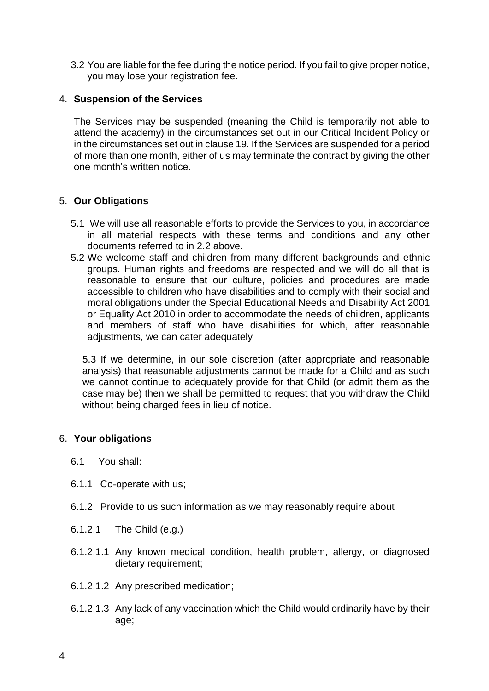3.2 You are liable for the fee during the notice period. If you fail to give proper notice, you may lose your registration fee.

## 4. **Suspension of the Services**

The Services may be suspended (meaning the Child is temporarily not able to attend the academy) in the circumstances set out in our Critical Incident Policy or in the circumstances set out in clause 19. If the Services are suspended for a period of more than one month, either of us may terminate the contract by giving the other one month's written notice.

## 5. **Our Obligations**

- 5.1 We will use all reasonable efforts to provide the Services to you, in accordance in all material respects with these terms and conditions and any other documents referred to in 2.2 above.
- 5.2 We welcome staff and children from many different backgrounds and ethnic groups. Human rights and freedoms are respected and we will do all that is reasonable to ensure that our culture, policies and procedures are made accessible to children who have disabilities and to comply with their social and moral obligations under the Special Educational Needs and Disability Act 2001 or Equality Act 2010 in order to accommodate the needs of children, applicants and members of staff who have disabilities for which, after reasonable adjustments, we can cater adequately

5.3 If we determine, in our sole discretion (after appropriate and reasonable analysis) that reasonable adjustments cannot be made for a Child and as such we cannot continue to adequately provide for that Child (or admit them as the case may be) then we shall be permitted to request that you withdraw the Child without being charged fees in lieu of notice.

## 6. **Your obligations**

- 6.1 You shall:
- 6.1.1 Co-operate with us;
- 6.1.2 Provide to us such information as we may reasonably require about
- 6.1.2.1 The Child (e.g.)
- 6.1.2.1.1 Any known medical condition, health problem, allergy, or diagnosed dietary requirement;
- 6.1.2.1.2 Any prescribed medication;
- 6.1.2.1.3 Any lack of any vaccination which the Child would ordinarily have by their age;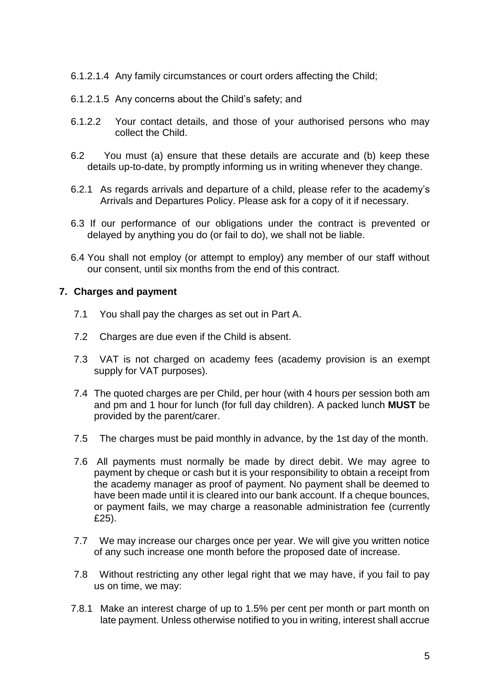- 6.1.2.1.4 Any family circumstances or court orders affecting the Child;
- 6.1.2.1.5 Any concerns about the Child's safety; and
- 6.1.2.2 Your contact details, and those of your authorised persons who may collect the Child.
- 6.2 You must (a) ensure that these details are accurate and (b) keep these details up-to-date, by promptly informing us in writing whenever they change.
- 6.2.1 As regards arrivals and departure of a child, please refer to the academy's Arrivals and Departures Policy. Please ask for a copy of it if necessary.
- 6.3 If our performance of our obligations under the contract is prevented or delayed by anything you do (or fail to do), we shall not be liable.
- 6.4 You shall not employ (or attempt to employ) any member of our staff without our consent, until six months from the end of this contract.

## **7. Charges and payment**

- 7.1 You shall pay the charges as set out in Part A.
- 7.2 Charges are due even if the Child is absent.
- 7.3 VAT is not charged on academy fees (academy provision is an exempt supply for VAT purposes).
- 7.4 The quoted charges are per Child, per hour (with 4 hours per session both am and pm and 1 hour for lunch (for full day children). A packed lunch **MUST** be provided by the parent/carer.
- 7.5 The charges must be paid monthly in advance, by the 1st day of the month.
- 7.6 All payments must normally be made by direct debit. We may agree to payment by cheque or cash but it is your responsibility to obtain a receipt from the academy manager as proof of payment. No payment shall be deemed to have been made until it is cleared into our bank account. If a cheque bounces, or payment fails, we may charge a reasonable administration fee (currently £25).
- 7.7 We may increase our charges once per year. We will give you written notice of any such increase one month before the proposed date of increase.
- 7.8 Without restricting any other legal right that we may have, if you fail to pay us on time, we may:
- 7.8.1 Make an interest charge of up to 1.5% per cent per month or part month on late payment. Unless otherwise notified to you in writing, interest shall accrue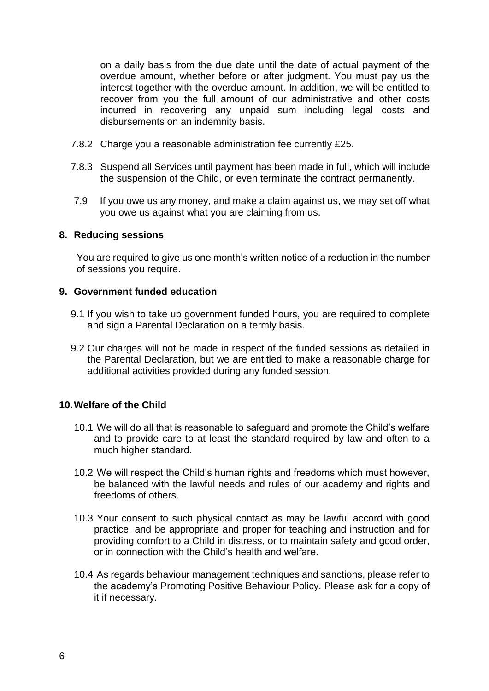on a daily basis from the due date until the date of actual payment of the overdue amount, whether before or after judgment. You must pay us the interest together with the overdue amount. In addition, we will be entitled to recover from you the full amount of our administrative and other costs incurred in recovering any unpaid sum including legal costs and disbursements on an indemnity basis.

- 7.8.2 Charge you a reasonable administration fee currently £25.
- 7.8.3 Suspend all Services until payment has been made in full, which will include the suspension of the Child, or even terminate the contract permanently.
- 7.9 If you owe us any money, and make a claim against us, we may set off what you owe us against what you are claiming from us.

#### **8. Reducing sessions**

You are required to give us one month's written notice of a reduction in the number of sessions you require.

#### **9. Government funded education**

- 9.1 If you wish to take up government funded hours, you are required to complete and sign a Parental Declaration on a termly basis.
- 9.2 Our charges will not be made in respect of the funded sessions as detailed in the Parental Declaration, but we are entitled to make a reasonable charge for additional activities provided during any funded session.

## **10.Welfare of the Child**

- 10.1 We will do all that is reasonable to safeguard and promote the Child's welfare and to provide care to at least the standard required by law and often to a much higher standard.
- 10.2 We will respect the Child's human rights and freedoms which must however, be balanced with the lawful needs and rules of our academy and rights and freedoms of others.
- 10.3 Your consent to such physical contact as may be lawful accord with good practice, and be appropriate and proper for teaching and instruction and for providing comfort to a Child in distress, or to maintain safety and good order, or in connection with the Child's health and welfare.
- 10.4 As regards behaviour management techniques and sanctions, please refer to the academy's Promoting Positive Behaviour Policy. Please ask for a copy of it if necessary.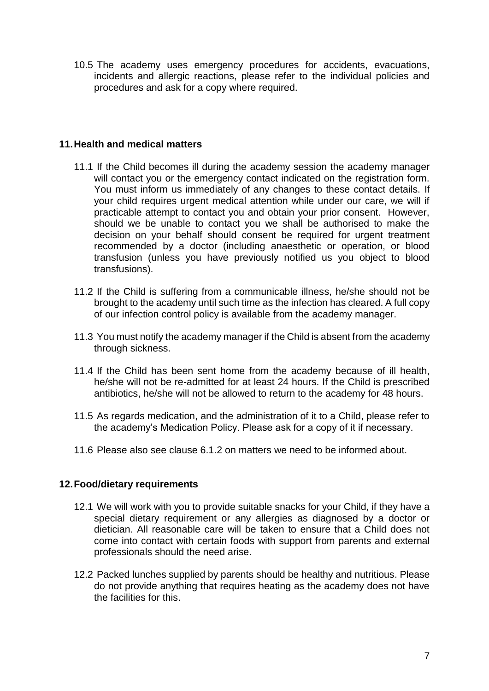10.5 The academy uses emergency procedures for accidents, evacuations, incidents and allergic reactions, please refer to the individual policies and procedures and ask for a copy where required.

## **11.Health and medical matters**

- 11.1 If the Child becomes ill during the academy session the academy manager will contact you or the emergency contact indicated on the registration form. You must inform us immediately of any changes to these contact details. If your child requires urgent medical attention while under our care, we will if practicable attempt to contact you and obtain your prior consent. However, should we be unable to contact you we shall be authorised to make the decision on your behalf should consent be required for urgent treatment recommended by a doctor (including anaesthetic or operation, or blood transfusion (unless you have previously notified us you object to blood transfusions).
- 11.2 If the Child is suffering from a communicable illness, he/she should not be brought to the academy until such time as the infection has cleared. A full copy of our infection control policy is available from the academy manager.
- 11.3 You must notify the academy manager if the Child is absent from the academy through sickness.
- 11.4 If the Child has been sent home from the academy because of ill health, he/she will not be re-admitted for at least 24 hours. If the Child is prescribed antibiotics, he/she will not be allowed to return to the academy for 48 hours.
- 11.5 As regards medication, and the administration of it to a Child, please refer to the academy's Medication Policy. Please ask for a copy of it if necessary.
- 11.6 Please also see clause 6.1.2 on matters we need to be informed about.

## **12.Food/dietary requirements**

- 12.1 We will work with you to provide suitable snacks for your Child, if they have a special dietary requirement or any allergies as diagnosed by a doctor or dietician. All reasonable care will be taken to ensure that a Child does not come into contact with certain foods with support from parents and external professionals should the need arise.
- 12.2 Packed lunches supplied by parents should be healthy and nutritious. Please do not provide anything that requires heating as the academy does not have the facilities for this.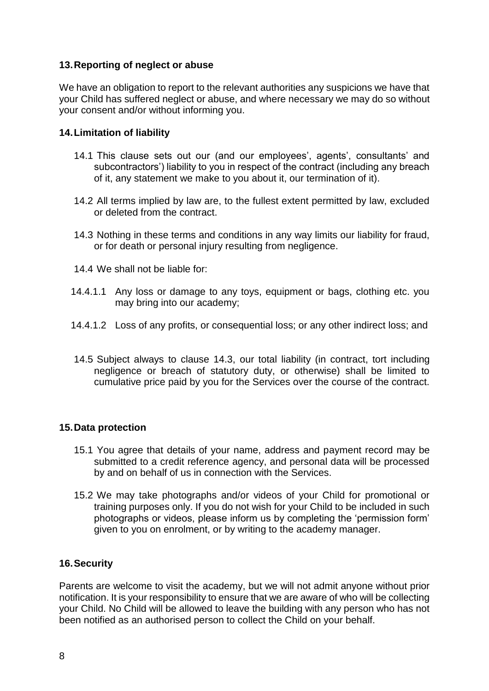## **13.Reporting of neglect or abuse**

We have an obligation to report to the relevant authorities any suspicions we have that your Child has suffered neglect or abuse, and where necessary we may do so without your consent and/or without informing you.

## **14.Limitation of liability**

- 14.1 This clause sets out our (and our employees', agents', consultants' and subcontractors') liability to you in respect of the contract (including any breach of it, any statement we make to you about it, our termination of it).
- 14.2 All terms implied by law are, to the fullest extent permitted by law, excluded or deleted from the contract.
- 14.3 Nothing in these terms and conditions in any way limits our liability for fraud, or for death or personal injury resulting from negligence.
- 14.4 We shall not be liable for:
- 14.4.1.1 Any loss or damage to any toys, equipment or bags, clothing etc. you may bring into our academy;
- 14.4.1.2 Loss of any profits, or consequential loss; or any other indirect loss; and
- 14.5 Subject always to clause 14.3, our total liability (in contract, tort including negligence or breach of statutory duty, or otherwise) shall be limited to cumulative price paid by you for the Services over the course of the contract.

## **15.Data protection**

- 15.1 You agree that details of your name, address and payment record may be submitted to a credit reference agency, and personal data will be processed by and on behalf of us in connection with the Services.
- 15.2 We may take photographs and/or videos of your Child for promotional or training purposes only. If you do not wish for your Child to be included in such photographs or videos, please inform us by completing the 'permission form' given to you on enrolment, or by writing to the academy manager.

## **16.Security**

Parents are welcome to visit the academy, but we will not admit anyone without prior notification. It is your responsibility to ensure that we are aware of who will be collecting your Child. No Child will be allowed to leave the building with any person who has not been notified as an authorised person to collect the Child on your behalf.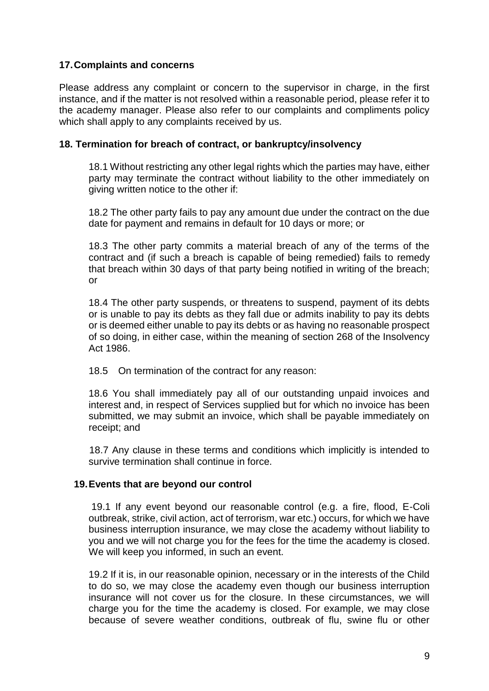## **17.Complaints and concerns**

Please address any complaint or concern to the supervisor in charge, in the first instance, and if the matter is not resolved within a reasonable period, please refer it to the academy manager. Please also refer to our complaints and compliments policy which shall apply to any complaints received by us.

#### **18. Termination for breach of contract, or bankruptcy/insolvency**

18.1 Without restricting any other legal rights which the parties may have, either party may terminate the contract without liability to the other immediately on giving written notice to the other if:

18.2 The other party fails to pay any amount due under the contract on the due date for payment and remains in default for 10 days or more; or

18.3 The other party commits a material breach of any of the terms of the contract and (if such a breach is capable of being remedied) fails to remedy that breach within 30 days of that party being notified in writing of the breach; or

18.4 The other party suspends, or threatens to suspend, payment of its debts or is unable to pay its debts as they fall due or admits inability to pay its debts or is deemed either unable to pay its debts or as having no reasonable prospect of so doing, in either case, within the meaning of section 268 of the Insolvency Act 1986.

18.5 On termination of the contract for any reason:

18.6 You shall immediately pay all of our outstanding unpaid invoices and interest and, in respect of Services supplied but for which no invoice has been submitted, we may submit an invoice, which shall be payable immediately on receipt; and

18.7 Any clause in these terms and conditions which implicitly is intended to survive termination shall continue in force.

## **19.Events that are beyond our control**

19.1 If any event beyond our reasonable control (e.g. a fire, flood, E-Coli outbreak, strike, civil action, act of terrorism, war etc.) occurs, for which we have business interruption insurance, we may close the academy without liability to you and we will not charge you for the fees for the time the academy is closed. We will keep you informed, in such an event.

19.2 If it is, in our reasonable opinion, necessary or in the interests of the Child to do so, we may close the academy even though our business interruption insurance will not cover us for the closure. In these circumstances, we will charge you for the time the academy is closed. For example, we may close because of severe weather conditions, outbreak of flu, swine flu or other